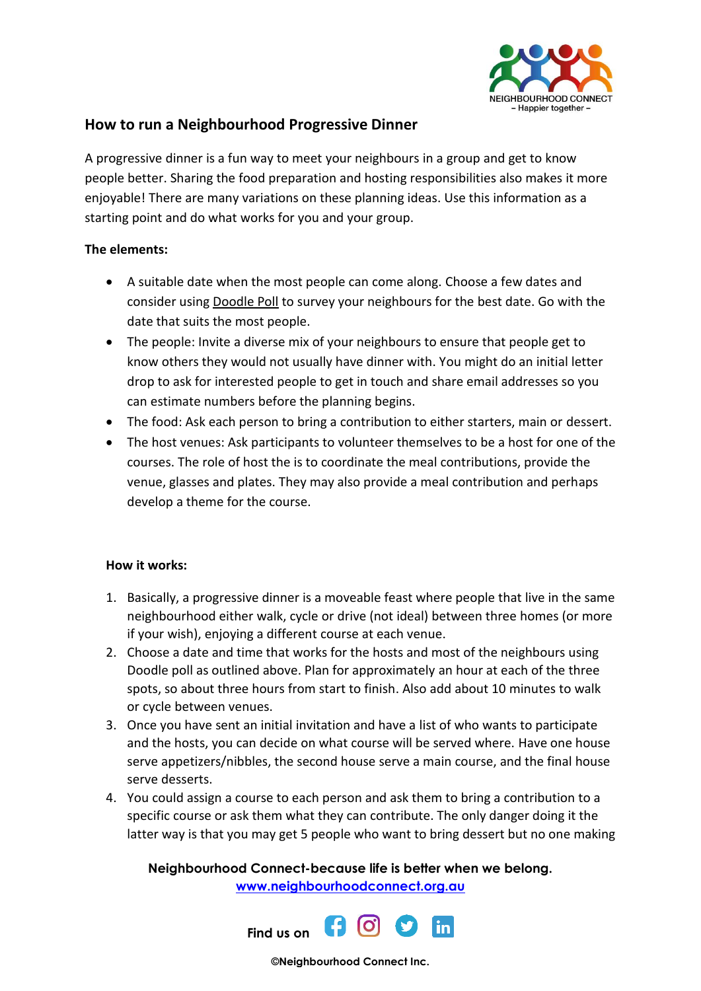

## **How to run a Neighbourhood Progressive Dinner**

A progressive dinner is a fun way to meet your neighbours in a group and get to know people better. Sharing the food preparation and hosting responsibilities also makes it more enjoyable! There are many variations on these planning ideas. Use this information as a starting point and do what works for you and your group.

## **The elements:**

- A suitable date when the most people can come along. Choose a few dates and consider usin[g Doodle Poll](http://doodle.com/) to survey your neighbours for the best date. Go with the date that suits the most people.
- The people: Invite a diverse mix of your neighbours to ensure that people get to know others they would not usually have dinner with. You might do an initial letter drop to ask for interested people to get in touch and share email addresses so you can estimate numbers before the planning begins.
- The food: Ask each person to bring a contribution to either starters, main or dessert.
- The host venues: Ask participants to volunteer themselves to be a host for one of the courses. The role of host the is to coordinate the meal contributions, provide the venue, glasses and plates. They may also provide a meal contribution and perhaps develop a theme for the course.

## **How it works:**

- 1. Basically, a progressive dinner is a moveable feast where people that live in the same neighbourhood either walk, cycle or drive (not ideal) between three homes (or more if your wish), enjoying a different course at each venue.
- 2. Choose a date and time that works for the hosts and most of the neighbours using Doodle poll as outlined above. Plan for approximately an hour at each of the three spots, so about three hours from start to finish. Also add about 10 minutes to walk or cycle between venues.
- 3. Once you have sent an initial invitation and have a list of who wants to participate and the hosts, you can decide on what course will be served where. Have one house serve appetizers/nibbles, the second house serve a main course, and the final house serve desserts.
- 4. You could assign a course to each person and ask them to bring a contribution to a specific course or ask them what they can contribute. The only danger doing it the latter way is that you may get 5 people who want to bring dessert but no one making

**Neighbourhood Connect-because life is better when we belong. [www.neighbourhoodconnect.org.au](http://www.neighbourhoodconnect.org.au/)**



**©Neighbourhood Connect Inc.**